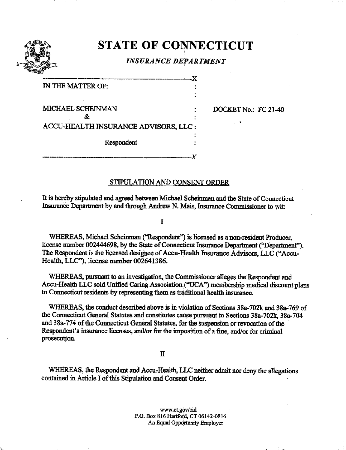

# STATE OF CONNECTICUT

## INSURANCE DEPARTMENT

-X

IN THE MATTER OF:

MICHAEL SCHEINMAN & ACCU-HEALTH INSURANCE ADVISORS, LLC

Respondent

-X

DOCKET No.: FC 21-40

## STIPULATION AND CONSENT ORDER

It is hereby stipulated and agreed between Michael Scheinman and the State of Connecticut Insurance Department by and through Andrew N. Mais, Insurance Commissioner to wit:

I

WHEREAS, Michael Scheinman ("Respondent") is licensed as a non-resident Producer, license number 002444698, by die State of Connecticut Insurance Department ('Department"). The Respondent is the licensed designee of Accu-Health Insurance Advisors, LLC ("Accu-Health, LLC"), license number 002641386.

WHEREAS, pursuant to an investigation, the Commissioner alleges the Respondent and Accu-Health LLC sold Unified Caring Association . "UCA") membership medical discount plans to Connecticut residents hy representing diem as traditional health insurance.

WHEREAS, the conduct described above is in violation of Sections 38a-702k and 38a-769 of the Connecticut General Statutes and constitutes cause pursuant to Sections 38a-702k, 38a-704 and 38a-774 of the Connecticut General Statutes, for the suspension or revocation of the Respondent's insurance licenses, and/or for the imposition of a fine, and/or for criminal prosecution.

### n

WHEREAS, the Respondent and Accu-Heallh, LLC neither admit nor deny the allegations contained in Article I of this Stipulation and Consent Order.

> www.ct.gov/cid P.O. Box 816 Hartford, CT 06142-0816 An Equal Opportunity Enployer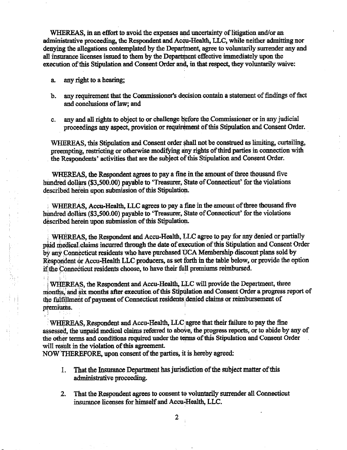WHEREAS, in an effort to avoid the expenses and uncertainty of litigation and/or an administrative proceeding, the Respondent and Accu-Health, LLC, while neither admitting nor denying the allegations contemplated by the Department, agree to voluntarily surrender any and all insurance licenses issued to them by the Department effective immediately upon the execution of this Stipulation and Consent Order and, in that respect, they voluntarily waive:

a. any right to a hearing;

- b. any requirement that the Commissioner's dedsion contain a statement of findings of fact and conclusions of law; and
- c. any and all rights to object to or challenge before the Commissioner or in any judicial proceedings any aspect, provision or requirement of this Stipulation and Consent Order.

WHEREAS, this Stipulation and Consent order shall not be construed as limiting, curtailing, preempting, restricting or otherwise modifying any rights of third parties in connection with the Respondents' activities that are the subject of this Stipulation and Consent Order.

WHEREAS, the Respondent agrees to pay a fine in the amount of three thousand five hundred dollars (\$3,500.00) payable to 'Treasurer, State of Connecticut' for the violations described herein upon submission of this Stipulatioh.

WHEREAS, Accu-Health, LLC agrees to pay a fine in the amount of three thousand five hundred dollars (\$3,500.00) payable to 'Treasurer, State of Connecticut' for the violations described herein upon submission of this Stipulation.

WHEREAS, the Respondent and Accu-Health, LLC agree to pay for any denied or partially paid medical claims incurred through the date of execution of this Stipulation and Consent Order<br>by any Connecticut residents who have purchased UCA Membership discount plans sold by Respondent or Accu-Health LLC producers, as set forth in the table below, or provide the option if the Connecticut residents choose, to have their full premiums reimbursed.

WHEREAS, the Respondent and Accu-Health, LLC will provide the Department, three months, and six months after execution of this Stipulation and Consent Order a progress report of the fulfillment of payment of Connecticut residents denied claims or reimbursement of premiums.

WHEREAS, Respondent and Accu-Health, LLC agree that their failure to pay the fine assessed, the unpaid medical claims referred to above, the progress reports, or to abide by any of the other terms and conditions required under the terms of this Stipulation and Consent Order will result in the violation of this agreement.

NOW THEREFORE, upon consent of the parties, it is hereby agreed:

- That the Insurance Department has jurisdiction of the subject matter of this 1. administrative proceeding.
- 2. That the Respondent agrees to consent to voluntarily surrender all Connecticut insurance licenses for himself and Accu-Health, LLC.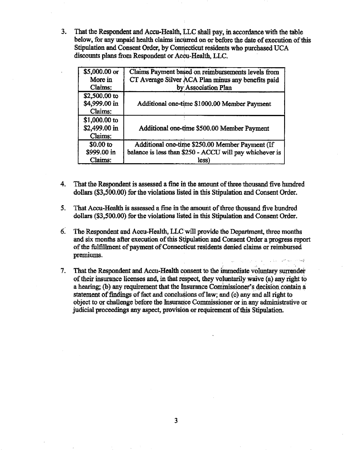3. That the Respondent and Accu-Health, LLC shali pay, in accordance with the table below, for any unpaid health claims incmed on or before the date of execution of this Stipulation and Consent Order, by Connecticut residents who purchased UCA discounts plans from Respondent or Accu-Health, LLC.

| \$5,000.00 or<br>More in<br>Claims:       | Claims Payment based on reimbursements levels from<br>CT Average Silver ACA Plan minus any benefits paid<br>by Association Plan |
|-------------------------------------------|---------------------------------------------------------------------------------------------------------------------------------|
| \$2,500.00 to<br>\$4,999.00 in            | Additional one-time \$1000.00 Member Payment                                                                                    |
| Claims:<br>\$1,000.00 to<br>\$2,499.00 in | Additional one-time \$500.00 Member Payment                                                                                     |
| Claims:<br>$$0.00$ to                     | Additional one-time \$250.00 Member Payment (If                                                                                 |
| \$999.00 in<br>Claims:                    | balance is less than \$250 - ACCU will pay whichever is<br>less)                                                                |

- 4. That the Respondent is assessed a tine in the amount of three thousand five hundred dollars (\$3,500.00) for the violations listed in this Stipulation and Consent Order.
- 5. That Accu-Health is assessed a fine in the amouht of three thousand five hundred dollars (\$3,500.00) for the violations listed in this Stipulation and Consent Order.
- 6. The Respondent and Accu-Health, LLC will provide the Department, three months and six months after execution of this Stipulation and Consent Order a progress report of the fulfillment of payment of Connecticut residents denied claims or reimbursed premiums.
- 7. That the Respondent and Accu-Health consent to the immediate voluntary surrender of their insurance licenses and, in that respect, they voluntarily waive (a) any right to a hearing; (b) any requirement that the Insurance Commissioner's decision contain a statement of findings of fact and conclusions of law; and (c) any and all right to object to or challenge before the Insurance Commissioner or in any administrative or judicial proceedings any aspect, provision or requirement of this Stipulation.